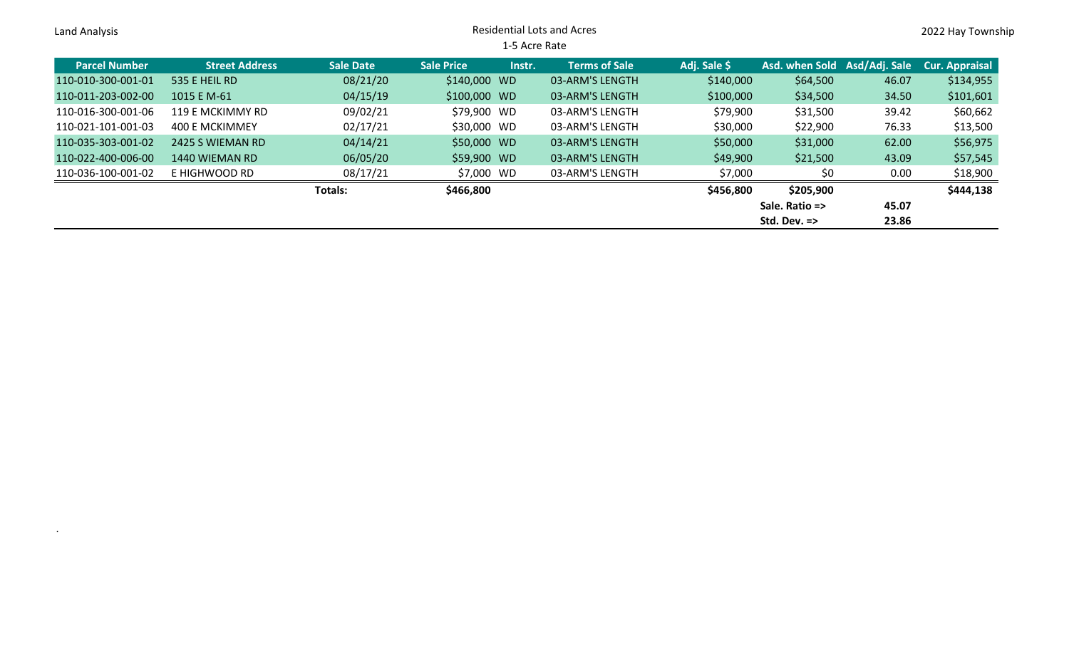| Land Analysis        |                       |                  | <b>Residential Lots and Acres</b> |               |                      |              |                              |       |                       |
|----------------------|-----------------------|------------------|-----------------------------------|---------------|----------------------|--------------|------------------------------|-------|-----------------------|
|                      |                       |                  |                                   | 1-5 Acre Rate |                      |              |                              |       |                       |
| <b>Parcel Number</b> | <b>Street Address</b> | <b>Sale Date</b> | <b>Sale Price</b>                 | Instr.        | <b>Terms of Sale</b> | Adj. Sale \$ | Asd. when Sold Asd/Adj. Sale |       | <b>Cur. Appraisal</b> |
| 110-010-300-001-01   | 535 E HEIL RD         | 08/21/20         | \$140,000 WD                      |               | 03-ARM'S LENGTH      | \$140,000    | \$64,500                     | 46.07 | \$134,955             |
| 110-011-203-002-00   | 1015 E M-61           | 04/15/19         | \$100,000 WD                      |               | 03-ARM'S LENGTH      | \$100,000    | \$34,500                     | 34.50 | \$101,601             |
| 110-016-300-001-06   | 119 E MCKIMMY RD      | 09/02/21         | \$79,900 WD                       |               | 03-ARM'S LENGTH      | \$79,900     | \$31,500                     | 39.42 | \$60,662              |
| 110-021-101-001-03   | 400 E MCKIMMEY        | 02/17/21         | \$30,000 WD                       |               | 03-ARM'S LENGTH      | \$30,000     | \$22,900                     | 76.33 | \$13,500              |
| 110-035-303-001-02   | 2425 S WIEMAN RD      | 04/14/21         | \$50,000 WD                       |               | 03-ARM'S LENGTH      | \$50,000     | \$31,000                     | 62.00 | \$56,975              |
| 110-022-400-006-00   | 1440 WIEMAN RD        | 06/05/20         | \$59,900 WD                       |               | 03-ARM'S LENGTH      | \$49,900     | \$21,500                     | 43.09 | \$57,545              |
| 110-036-100-001-02   | E HIGHWOOD RD         | 08/17/21         | \$7,000 WD                        |               | 03-ARM'S LENGTH      | \$7,000      | \$0                          | 0.00  | \$18,900              |
|                      |                       | Totals:          | \$466,800                         |               |                      | \$456,800    | \$205,900                    |       | \$444,138             |
|                      |                       |                  |                                   |               |                      |              | Sale. Ratio =>               | 45.07 |                       |
|                      |                       |                  |                                   |               |                      |              | Std. Dev. $\Rightarrow$      | 23.86 |                       |

.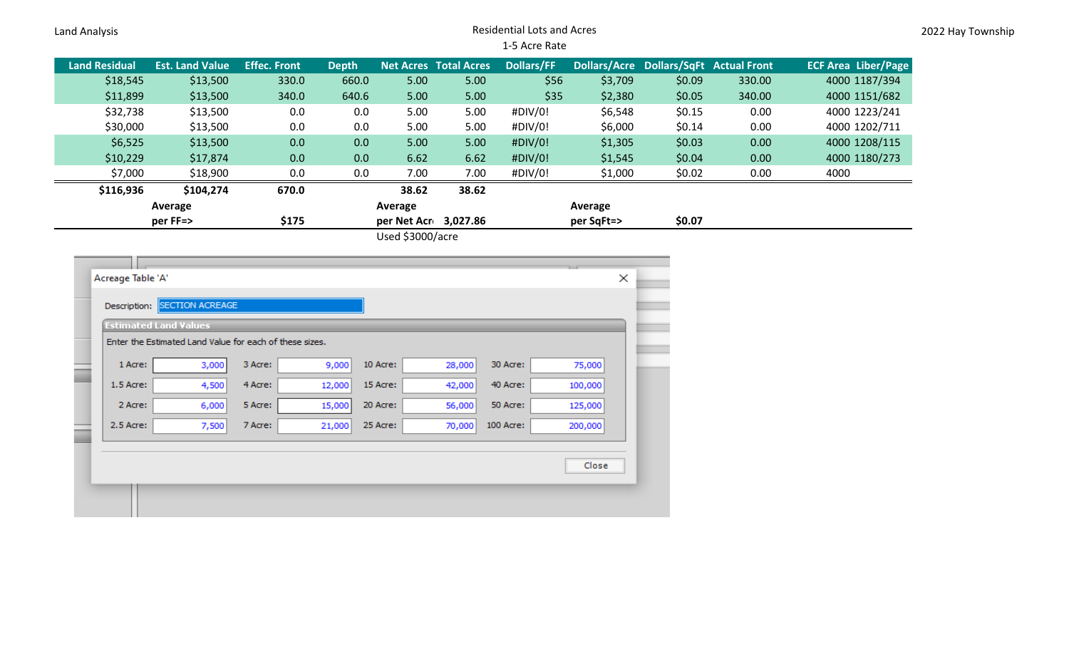## Land Analysis Residential Lots and Acres 1-5 Acre Rate

| <b>Land Residual</b> | <b>Est. Land Value</b> | <b>Effec. Front</b> | <b>Depth</b> |                                                                                                                                                                                                                                                                                                                                    | <b>Net Acres Total Acres</b> | <b>Dollars/FF</b> |            |        | Dollars/Acre Dollars/SqFt Actual Front | <b>ECF Area Liber/Page</b> |
|----------------------|------------------------|---------------------|--------------|------------------------------------------------------------------------------------------------------------------------------------------------------------------------------------------------------------------------------------------------------------------------------------------------------------------------------------|------------------------------|-------------------|------------|--------|----------------------------------------|----------------------------|
| \$18,545             | \$13,500               | 330.0               | 660.0        | 5.00                                                                                                                                                                                                                                                                                                                               | 5.00                         | \$56              | \$3,709    | \$0.09 | 330.00                                 | 4000 1187/394              |
| \$11,899             | \$13,500               | 340.0               | 640.6        | 5.00                                                                                                                                                                                                                                                                                                                               | 5.00                         | \$35              | \$2,380    | \$0.05 | 340.00                                 | 4000 1151/682              |
| \$32,738             | \$13,500               | 0.0                 | 0.0          | 5.00                                                                                                                                                                                                                                                                                                                               | 5.00                         | #DIV/0!           | \$6,548    | \$0.15 | 0.00                                   | 4000 1223/241              |
| \$30,000             | \$13,500               | 0.0                 | 0.0          | 5.00                                                                                                                                                                                                                                                                                                                               | 5.00                         | #DIV/0!           | \$6,000    | \$0.14 | 0.00                                   | 4000 1202/711              |
| \$6,525              | \$13,500               | 0.0                 | 0.0          | 5.00                                                                                                                                                                                                                                                                                                                               | 5.00                         | #DIV/0!           | \$1,305    | \$0.03 | 0.00                                   | 4000 1208/115              |
| \$10,229             | \$17,874               | 0.0                 | 0.0          | 6.62                                                                                                                                                                                                                                                                                                                               | 6.62                         | #DIV/0!           | \$1,545    | \$0.04 | 0.00                                   | 4000 1180/273              |
| \$7,000              | \$18,900               | 0.0                 | 0.0          | 7.00                                                                                                                                                                                                                                                                                                                               | 7.00                         | #DIV/0!           | \$1,000    | \$0.02 | 0.00                                   | 4000                       |
| \$116,936            | \$104,274              | 670.0               |              | 38.62                                                                                                                                                                                                                                                                                                                              | 38.62                        |                   |            |        |                                        |                            |
|                      | Average                |                     |              | Average                                                                                                                                                                                                                                                                                                                            |                              |                   | Average    |        |                                        |                            |
|                      | per FF=>               | \$175               |              | per Net Acr 3,027.86                                                                                                                                                                                                                                                                                                               |                              |                   | per SqFt=> | \$0.07 |                                        |                            |
|                      |                        |                     |              | $\mathbf{1}$ $\mathbf{1}$ $\mathbf{1}$ $\mathbf{1}$ $\mathbf{2}$ $\mathbf{2}$ $\mathbf{2}$ $\mathbf{2}$ $\mathbf{3}$ $\mathbf{3}$ $\mathbf{4}$ $\mathbf{3}$ $\mathbf{2}$ $\mathbf{3}$ $\mathbf{4}$ $\mathbf{3}$ $\mathbf{4}$ $\mathbf{3}$ $\mathbf{4}$ $\mathbf{4}$ $\mathbf{3}$ $\mathbf{5}$ $\mathbf{4}$ $\mathbf{5}$ $\mathbf{$ |                              |                   |            |        |                                        |                            |

Used \$3000/acre

| <b>Estimated Land Values</b>                            |       |         |        |          |        |           |         |
|---------------------------------------------------------|-------|---------|--------|----------|--------|-----------|---------|
| Enter the Estimated Land Value for each of these sizes. |       |         |        |          |        |           |         |
| 1 Acre:                                                 | 3,000 | 3 Acre: | 9,000  | 10 Acre: | 28,000 | 30 Acre:  | 75,000  |
| 1.5 Acre:                                               | 4,500 | 4 Acre: | 12,000 | 15 Acre: | 42,000 | 40 Acre:  | 100,000 |
| 2 Acre:                                                 | 6,000 | 5 Acre: | 15,000 | 20 Acre: | 56,000 | 50 Acre:  | 125,000 |
| $2.5$ Acre:                                             | 7,500 | 7 Acre: | 21,000 | 25 Acre: | 70,000 | 100 Acre: | 200,000 |
|                                                         |       |         |        |          |        |           |         |